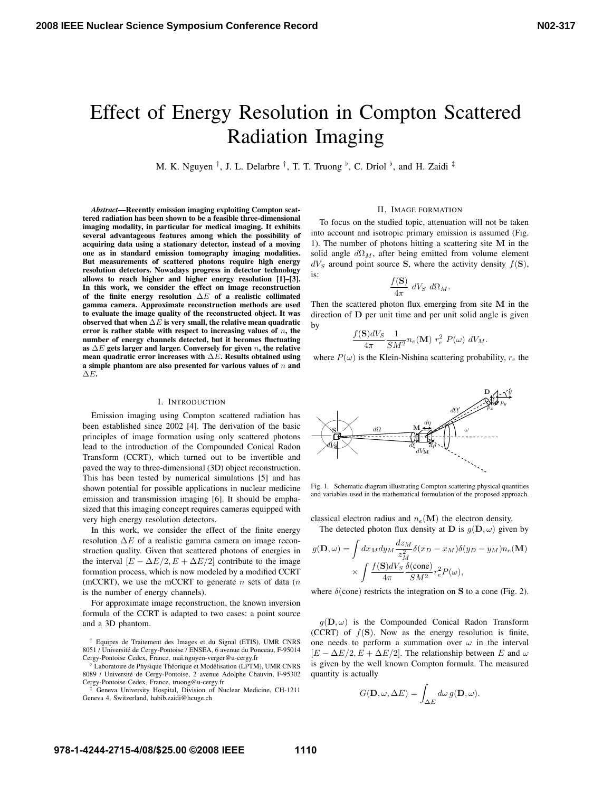# Effect of Energy Resolution in Compton Scattered Radiation Imaging

M. K. Nguyen  $^{\dagger}$ , J. L. Delarbre  $^{\dagger}$ , T. T. Truong  $^{\flat}$ , C. Driol  $^{\flat}$ , and H. Zaidi  $^{\ddagger}$ 

*Abstract*—Recently emission imaging exploiting Compton scattered radiation has been shown to be a feasible three-dimensional imaging modality, in particular for medical imaging. It exhibits several advantageous features among which the possibility of acquiring data using a stationary detector, instead of a moving one as in standard emission tomography imaging modalities. But measurements of scattered photons require high energy resolution detectors. Nowadays progress in detector technology allows to reach higher and higher energy resolution [1]–[3]. In this work, we consider the effect on image reconstruction of the finite energy resolution  $\Delta E$  of a realistic collimated gamma camera. Approximate reconstruction methods are used to evaluate the image quality of the reconstructed object. It was observed that when  $\Delta E$  is very small, the relative mean quadratic error is rather stable with respect to increasing values of  $n$ , the number of energy channels detected, but it becomes fluctuating as  $\Delta E$  gets larger and larger. Conversely for given n, the relative mean quadratic error increases with  $\Delta E$ . Results obtained using a simple phantom are also presented for various values of  $n$  and  $\Delta E$ .

#### I. INTRODUCTION

Emission imaging using Compton scattered radiation has been established since 2002 [4]. The derivation of the basic principles of image formation using only scattered photons lead to the introduction of the Compounded Conical Radon Transform (CCRT), which turned out to be invertible and paved the way to three-dimensional (3D) object reconstruction. This has been tested by numerical simulations [5] and has shown potential for possible applications in nuclear medicine emission and transmission imaging [6]. It should be emphasized that this imaging concept requires cameras equipped with very high energy resolution detectors.

In this work, we consider the effect of the finite energy resolution  $\Delta E$  of a realistic gamma camera on image reconstruction quality. Given that scattered photons of energies in the interval  $[E - \Delta E/2, E + \Delta E/2]$  contribute to the image formation process, which is now modeled by a modified CCRT (mCCRT), we use the mCCRT to generate  $n$  sets of data  $(n)$ is the number of energy channels).

For approximate image reconstruction, the known inversion formula of the CCRT is adapted to two cases: a point source and a 3D phantom.

† Equipes de Traitement des Images et du Signal (ETIS), UMR CNRS 8051 / Universite de Cergy-Pontoise / ENSEA, 6 avenue du Ponceau, F-95014 ´ Cergy-Pontoise Cedex, France, mai.nguyen-verger@u-cergy.fr

<sup>b</sup> Laboratoire de Physique Théorique et Modélisation (LPTM), UMR CNRS 8089 / Universite de Cergy-Pontoise, 2 avenue Adolphe Chauvin, F-95302 ´ Cergy-Pontoise Cedex, France, truong@u-cergy.fr

‡ Geneva University Hospital, Division of Nuclear Medicine, CH-1211 Geneva 4, Switzerland, habib.zaidi@hcuge.ch

#### II. IMAGE FORMATION

To focus on the studied topic, attenuation will not be taken into account and isotropic primary emission is assumed (Fig. 1). The number of photons hitting a scattering site M in the solid angle  $d\Omega_M$ , after being emitted from volume element  $dV_S$  around point source S, where the activity density  $f(S)$ , is:

$$
\frac{f(\mathbf{S})}{4\pi} dV_S d\Omega_M.
$$

Then the scattered photon flux emerging from site M in the direction of D per unit time and per unit solid angle is given by

$$
-\frac{f(\mathbf{S})dV_S}{4\pi}\frac{1}{SM^2}n_e(\mathbf{M})\ r_e^2\ P(\omega)\ dV_M.
$$

where  $P(\omega)$  is the Klein-Nishina scattering probability,  $r_e$  the



Fig. 1. Schematic diagram illustrating Compton scattering physical quantities and variables used in the mathematical formulation of the proposed approach.

classical electron radius and  $n_e(\textbf{M})$  the electron density. The detected photon flux density at D is  $g(D, \omega)$  given by

$$
g(\mathbf{D}, \omega) = \int dx_M dy_M \frac{dz_M}{z_M^2} \delta(x_D - x_M) \delta(y_D - y_M) n_e(\mathbf{M})
$$

$$
\times \int \frac{f(\mathbf{S})dV_S}{4\pi} \frac{\delta(\text{cone})}{SM^2} r_e^2 P(\omega),
$$

where  $\delta$ (cone) restricts the integration on S to a cone (Fig. 2).

 $g(D, \omega)$  is the Compounded Conical Radon Transform (CCRT) of  $f(S)$ . Now as the energy resolution is finite, one needs to perform a summation over  $\omega$  in the interval  $[E - \Delta E/2, E + \Delta E/2]$ . The relationship between E and  $\omega$ is given by the well known Compton formula. The measured quantity is actually

$$
G(\mathbf{D}, \omega, \Delta E) = \int_{\Delta E} d\omega \, g(\mathbf{D}, \omega).
$$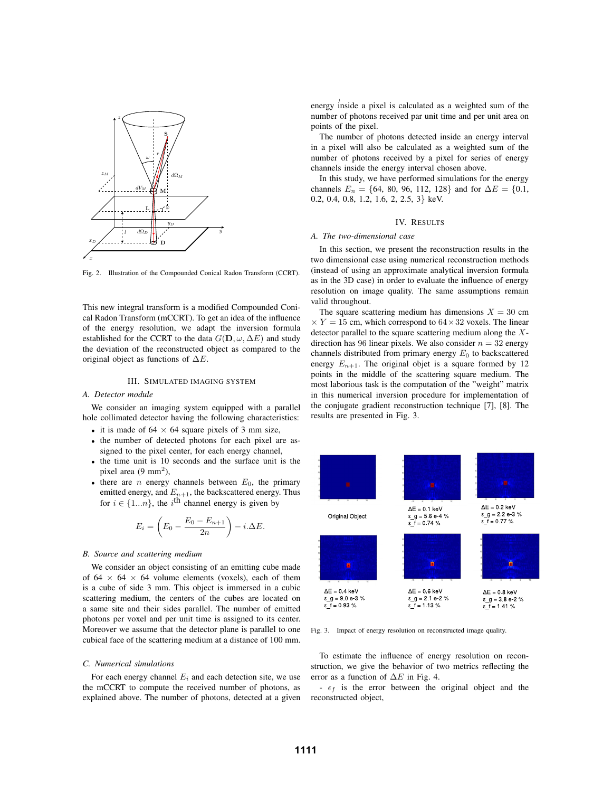

Fig. 2. Illustration of the Compounded Conical Radon Transform (CCRT).

This new integral transform is a modified Compounded Conical Radon Transform (mCCRT). To get an idea of the influence of the energy resolution, we adapt the inversion formula established for the CCRT to the data  $G(\mathbf{D}, \omega, \Delta E)$  and study the deviation of the reconstructed object as compared to the original object as functions of  $\Delta E$ .

## III. SIMULATED IMAGING SYSTEM

## *A. Detector module*

We consider an imaging system equipped with a parallel hole collimated detector having the following characteristics:

- it is made of  $64 \times 64$  square pixels of 3 mm size,
- the number of detected photons for each pixel are assigned to the pixel center, for each energy channel,
- the time unit is 10 seconds and the surface unit is the pixel area  $(9 \text{ mm}^2)$ ,
- there are *n* energy channels between  $E_0$ , the primary emitted energy, and  $E_{n+1}$ , the backscattered energy. Thus for  $i \in \{1...n\}$ , the i<sup>th</sup> channel energy is given by

$$
E_i = \left(E_0 - \frac{E_0 - E_{n+1}}{2n}\right) - i\Delta E.
$$

# *B. Source and scattering medium*

We consider an object consisting of an emitting cube made of 64  $\times$  64  $\times$  64 volume elements (voxels), each of them is a cube of side 3 mm. This object is immersed in a cubic scattering medium, the centers of the cubes are located on a same site and their sides parallel. The number of emitted photons per voxel and per unit time is assigned to its center. Moreover we assume that the detector plane is parallel to one cubical face of the scattering medium at a distance of 100 mm.

#### *C. Numerical simulations*

For each energy channel  $E_i$  and each detection site, we use the mCCRT to compute the received number of photons, as explained above. The number of photons, detected at a given energy inside a pixel is calculated as a weighted sum of the number of photons received par unit time and per unit area on points of the pixel.

The number of photons detected inside an energy interval in a pixel will also be calculated as a weighted sum of the number of photons received by a pixel for series of energy channels inside the energy interval chosen above.

In this study, we have performed simulations for the energy channels  $E_n = \{64, 80, 96, 112, 128\}$  and for  $\Delta E = \{0.1,$ 0.2, 0.4, 0.8, 1.2, 1.6, 2, 2.5, 3} keV.

## IV. RESULTS

# *A. The two-dimensional case*

1

In this section, we present the reconstruction results in the two dimensional case using numerical reconstruction methods (instead of using an approximate analytical inversion formula as in the 3D case) in order to evaluate the influence of energy resolution on image quality. The same assumptions remain valid throughout.

The square scattering medium has dimensions  $X = 30$  cm  $\times$  Y = 15 cm, which correspond to 64  $\times$  32 voxels. The linear detector parallel to the square scattering medium along the  $X$ direction has 96 linear pixels. We also consider  $n = 32$  energy channels distributed from primary energy  $E_0$  to backscattered energy  $E_{n+1}$ . The original objet is a square formed by 12 points in the middle of the scattering square medium. The most laborious task is the computation of the "weight" matrix in this numerical inversion procedure for implementation of the conjugate gradient reconstruction technique [7], [8]. The results are presented in Fig. 3.



Fig. 3. Impact of energy resolution on reconstructed image quality.

To estimate the influence of energy resolution on reconstruction, we give the behavior of two metrics reflecting the error as a function of  $\Delta E$  in Fig. 4.

 $-\epsilon_f$  is the error between the original object and the reconstructed object,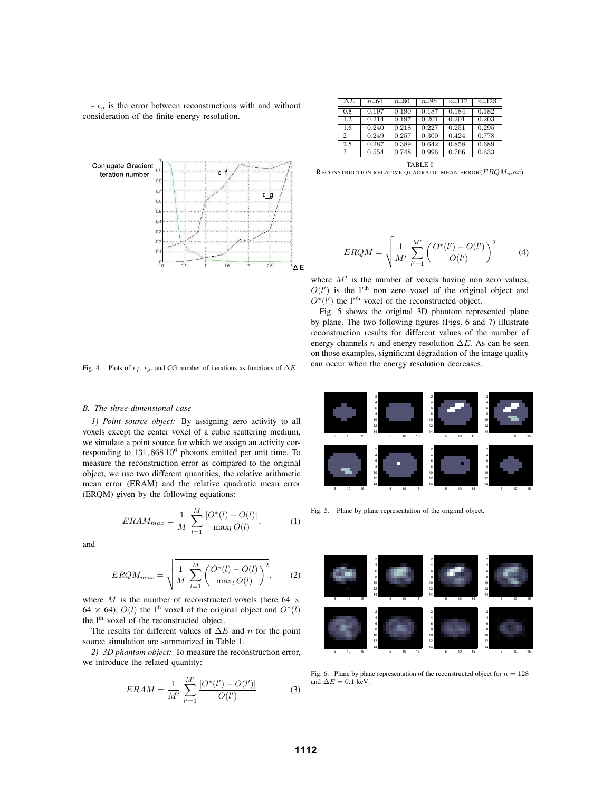$-\epsilon_q$  is the error between reconstructions with and without consideration of the finite energy resolution.

Conjugate Gradient Iteration number  $\epsilon$  $\overline{a}$  $\overline{0}$ εg  $0.6$  $0.5$  $0<sup>2</sup>$  $03$  $0.2$  $\overline{0}$ ªΔE

| $\Delta E$     | $n = 64$ | $n=80$ | $n = 96$ | $n=112$ | $n = 128$ |
|----------------|----------|--------|----------|---------|-----------|
| 0.8            | 0.197    | 0.190  | 0.187    | 0.184   | 0.182     |
| 1.2            | 0.214    | 0.197  | 0.201    | 0.201   | 0.203     |
| 1.6            | 0.240    | 0.218  | 0.227    | 0.251   | 0.295     |
| $\overline{c}$ | 0.249    | 0.257  | 0.300    | 0.424   | 0.778     |
| 2.5            | 0.287    | 0.389  | 0.642    | 0.858   | 0.689     |
| 3              | 0.554    | 0.748  | 0.996    | 0.766   | 0.633     |

TABLE I RECONSTRUCTION RELATIVE QUADRATIC MEAN ERROR $(ERQM_{max})$ 

$$
ERQM = \sqrt{\frac{1}{M'} \sum_{l'=1}^{M'} \left( \frac{O^*(l') - O(l')}{O(l')} \right)^2}
$$
 (4)

where  $M'$  is the number of voxels having non zero values,  $O(l')$  is the l'<sup>th</sup> non zero voxel of the original object and  $O^*(l')$  the l'<sup>th</sup> voxel of the reconstructed object.

Fig. 5 shows the original 3D phantom represented plane by plane. The two following figures (Figs. 6 and 7) illustrate reconstruction results for different values of the number of energy channels *n* and energy resolution  $\Delta E$ . As can be seen on those examples, significant degradation of the image quality can occur when the energy resolution decreases.

Fig. 4. Plots of  $\epsilon_f$ ,  $\epsilon_g$ , and CG number of iterations as functions of  $\Delta E$ 

### *B. The three-dimensional case*

*1) Point source object:* By assigning zero activity to all voxels except the center voxel of a cubic scattering medium, we simulate a point source for which we assign an activity corresponding to  $131,86810^6$  photons emitted per unit time. To measure the reconstruction error as compared to the original object, we use two different quantities, the relative arithmetic mean error (ERAM) and the relative quadratic mean error (ERQM) given by the following equations:

$$
ERAM_{max} = \frac{1}{M} \sum_{l=1}^{M} \frac{|O^*(l) - O(l)|}{\max_l O(l)},
$$
 (1)

and

$$
ERQM_{max} = \sqrt{\frac{1}{M} \sum_{l=1}^{M} \left( \frac{O^*(l) - O(l)}{\max_l O(l)} \right)^2},
$$
 (2)

where M is the number of reconstructed voxels (here 64  $\times$ 64 × 64),  $O(l)$  the l<sup>th</sup> voxel of the original object and  $O<sup>*</sup>(l)$ the l<sup>th</sup> voxel of the reconstructed object.

The results for different values of  $\Delta E$  and n for the point source simulation are summarized in Table 1.

*2) 3D phantom object:* To measure the reconstruction error, we introduce the related quantity:

$$
ERAM = \frac{1}{M'} \sum_{l'=1}^{M'} \frac{|O^*(l') - O(l')|}{|O(l')|}
$$
(3)



Fig. 5. Plane by plane representation of the original object.



Fig. 6. Plane by plane representation of the reconstructed object for  $n = 128$ and  $\Delta E = 0.1$  keV.